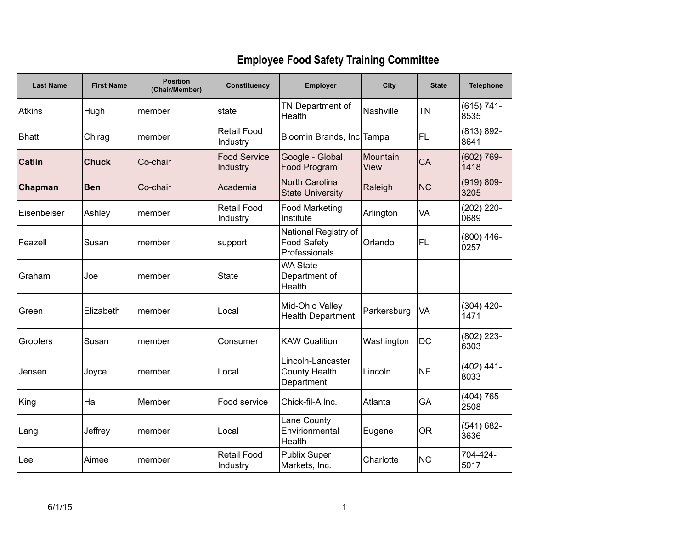## **Employee Food Safety Training Committee**

| <b>Last Name</b> | <b>First Name</b> | <b>Position</b><br>(Chair/Member) | Constituency                    | <b>Employer</b>                                             | City             | <b>State</b> | <b>Telephone</b>      |
|------------------|-------------------|-----------------------------------|---------------------------------|-------------------------------------------------------------|------------------|--------------|-----------------------|
| <b>Atkins</b>    | Hugh              | member                            | state                           | TN Department of<br>Health                                  | Nashville        | <b>TN</b>    | $(615) 741 -$<br>8535 |
| <b>Bhatt</b>     | Chirag            | member                            | <b>Retail Food</b><br>Industry  | Bloomin Brands, Inc Tampa                                   |                  | FL           | $(813) 892 -$<br>8641 |
| <b>Catlin</b>    | <b>Chuck</b>      | Co-chair                          | <b>Food Service</b><br>Industry | Google - Global<br>Food Program                             | Mountain<br>View | CA           | $(602) 769 -$<br>1418 |
| Chapman          | <b>Ben</b>        | Co-chair                          | Academia                        | <b>North Carolina</b><br><b>State University</b>            | Raleigh          | <b>NC</b>    | $(919) 809 -$<br>3205 |
| Eisenbeiser      | Ashley            | member                            | <b>Retail Food</b><br>Industry  | <b>Food Marketing</b><br>Institute                          | Arlington        | VA           | $(202)$ 220-<br>0689  |
| Feazell          | Susan             | member                            | support                         | National Registry of<br><b>Food Safety</b><br>Professionals | Orlando          | <b>FL</b>    | $(800)$ 446-<br>0257  |
| Graham           | Joe               | member                            | <b>State</b>                    | <b>WA State</b><br>Department of<br>Health                  |                  |              |                       |
| Green            | Elizabeth         | member                            | Local                           | Mid-Ohio Valley<br><b>Health Department</b>                 | Parkersburg      | VA           | $(304)$ 420-<br>1471  |
| Grooters         | Susan             | member                            | Consumer                        | <b>KAW Coalition</b>                                        | Washington       | <b>DC</b>    | $(802)$ 223-<br>6303  |
| Jensen           | Joyce             | member                            | Local                           | Lincoln-Lancaster<br><b>County Health</b><br>Department     | Lincoln          | <b>NE</b>    | $(402)$ 441-<br>8033  |
| King             | Hal               | Member                            | Food service                    | Chick-fil-A Inc.                                            | Atlanta          | GA           | $(404) 765 -$<br>2508 |
| Lang             | Jeffrey           | member                            | Local                           | Lane County<br>Envirionmental<br>Health                     | Eugene           | <b>OR</b>    | $(541) 682 -$<br>3636 |
| Lee              | Aimee             | member                            | <b>Retail Food</b><br>Industry  | <b>Publix Super</b><br>Markets, Inc.                        | Charlotte        | <b>NC</b>    | 704-424-<br>5017      |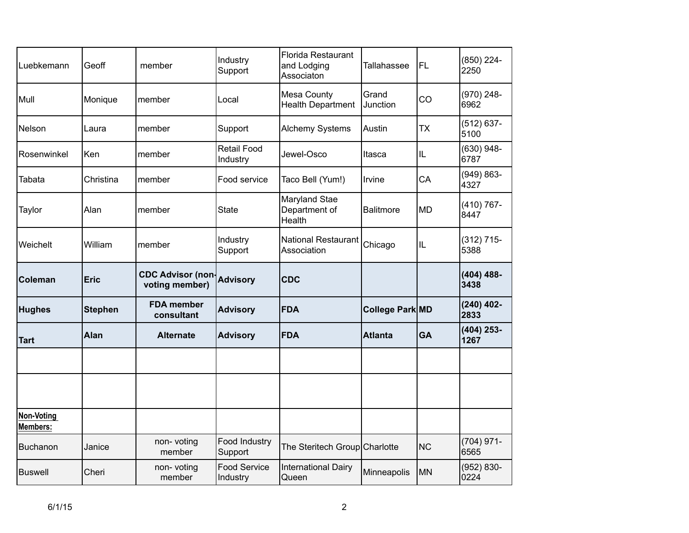| Luebkemann                    | Geoff          | member                                     | Industry<br>Support            | Florida Restaurant<br>and Lodging<br>Associaton | Tallahassee            | FL        | (850) 224-<br>2250    |
|-------------------------------|----------------|--------------------------------------------|--------------------------------|-------------------------------------------------|------------------------|-----------|-----------------------|
| Mull                          | Monique        | member                                     | Local                          | <b>Mesa County</b><br><b>Health Department</b>  | Grand<br>Junction      | CO        | $(970)$ 248-<br>6962  |
| Nelson                        | Laura          | member                                     | Support                        | <b>Alchemy Systems</b>                          | Austin                 | <b>TX</b> | $(512) 637 -$<br>5100 |
| Rosenwinkel                   | Ken            | member                                     | <b>Retail Food</b><br>Industry | Jewel-Osco                                      | Itasca                 | IL        | (630) 948-<br>6787    |
| Tabata                        | Christina      | member                                     | Food service                   | Taco Bell (Yum!)                                | Irvine                 | CA        | $(949) 863 -$<br>4327 |
| Taylor                        | Alan           | member                                     | <b>State</b>                   | Maryland Stae<br>Department of<br>Health        | <b>Balitmore</b>       | <b>MD</b> | $(410) 767 -$<br>8447 |
| Weichelt                      | William        | member                                     | Industry<br>Support            | National Restaurant<br>Association              | Chicago                | IL        | $(312)$ 715-<br>5388  |
|                               |                |                                            |                                |                                                 |                        |           |                       |
| <b>Coleman</b>                | Eric           | <b>CDC Advisor (non-</b><br>voting member) | <b>Advisory</b>                | <b>CDC</b>                                      |                        |           | $(404)$ 488-<br>3438  |
| <b>Hughes</b>                 | <b>Stephen</b> | <b>FDA</b> member<br>consultant            | <b>Advisory</b>                | <b>FDA</b>                                      | <b>College Park MD</b> |           | $(240)$ 402-<br>2833  |
| <b>Tart</b>                   | Alan           | <b>Alternate</b>                           | <b>Advisory</b>                | <b>FDA</b>                                      | <b>Atlanta</b>         | <b>GA</b> | $(404)$ 253-<br>1267  |
|                               |                |                                            |                                |                                                 |                        |           |                       |
|                               |                |                                            |                                |                                                 |                        |           |                       |
| Non-Voting<br><b>Members:</b> |                |                                            |                                |                                                 |                        |           |                       |
| <b>Buchanon</b>               | Janice         | non-voting<br>member                       | Food Industry<br>Support       | The Steritech Group Charlotte                   |                        | <b>NC</b> | $(704)$ 971-<br>6565  |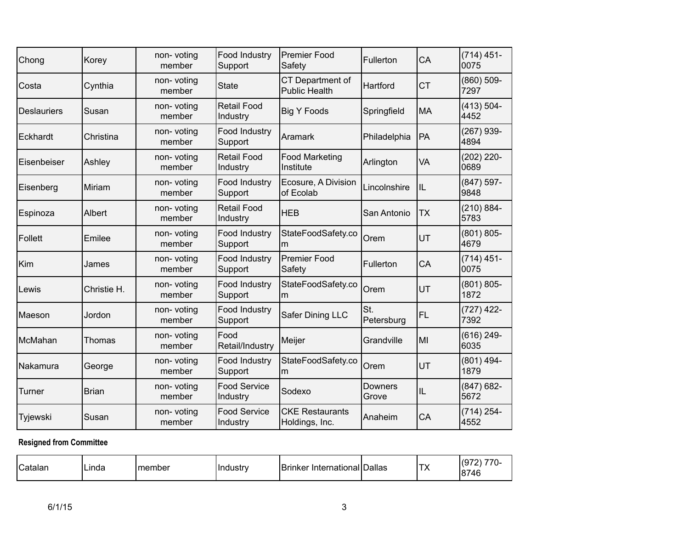| Chong              | Korey        | non-voting<br>member | <b>Food Industry</b><br>Support | <b>Premier Food</b><br>Safety            | Fullerton         | CA        | $(714) 451 -$<br>0075 |
|--------------------|--------------|----------------------|---------------------------------|------------------------------------------|-------------------|-----------|-----------------------|
| Costa              | Cynthia      | non-voting<br>member | <b>State</b>                    | CT Department of<br>Public Health        | Hartford          | <b>CT</b> | $(860) 509 -$<br>7297 |
| <b>Deslauriers</b> | Susan        | non-voting<br>member | <b>Retail Food</b><br>Industry  | <b>Big Y Foods</b>                       | Springfield       | <b>MA</b> | $(413) 504 -$<br>4452 |
| Eckhardt           | Christina    | non-voting<br>member | Food Industry<br>Support        | Aramark                                  | Philadelphia      | PA        | $(267)$ 939-<br>4894  |
| Eisenbeiser        | Ashley       | non-voting<br>member | <b>Retail Food</b><br>Industry  | <b>Food Marketing</b><br>Institute       | Arlington         | VA        | $(202)$ 220-<br>0689  |
| Eisenberg          | Miriam       | non-voting<br>member | Food Industry<br>Support        | Ecosure, A Division<br>of Ecolab         | Lincolnshire      | IL        | $(847)$ 597-<br>9848  |
| Espinoza           | Albert       | non-voting<br>member | <b>Retail Food</b><br>Industry  | <b>HEB</b>                               | San Antonio       | <b>TX</b> | $(210) 884 -$<br>5783 |
| Follett            | Emilee       | non-voting<br>member | Food Industry<br>Support        | StateFoodSafety.co<br>m                  | Orem              | UT        | $(801) 805 -$<br>4679 |
| Kim                | James        | non-voting<br>member | Food Industry<br>Support        | <b>Premier Food</b><br>Safety            | Fullerton         | CA        | $(714) 451 -$<br>0075 |
| Lewis              | Christie H.  | non-voting<br>member | Food Industry<br>Support        | StateFoodSafety.co<br>m                  | Orem              | UT        | $(801) 805 -$<br>1872 |
| Maeson             | Jordon       | non-voting<br>member | Food Industry<br>Support        | Safer Dining LLC                         | St.<br>Petersburg | <b>FL</b> | $(727)$ 422-<br>7392  |
| McMahan            | Thomas       | non-voting<br>member | Food<br>Retail/Industry         | Meijer                                   | Grandville        | MI        | $(616)$ 249-<br>6035  |
| Nakamura           | George       | non-voting<br>member | Food Industry<br>Support        | StateFoodSafety.co<br>m                  | Orem              | UT        | $(801)$ 494-<br>1879  |
| Turner             | <b>Brian</b> | non-voting<br>member | <b>Food Service</b><br>Industry | Sodexo                                   | Downers<br>Grove  | IL        | $(847) 682 -$<br>5672 |
| Tyjewski           | Susan        | non-voting<br>member | <b>Food Service</b><br>Industry | <b>CKE Restaurants</b><br>Holdings, Inc. | Anaheim           | CA        | $(714) 254 -$<br>4552 |

## **Resigned from Committee**

| <sup>I</sup> Catalan<br>. . | Linda | Imember | Hndustrv | Brinker International Dallas |  | IT۱.<br>$\sqrt{ }$ | (972)<br>$-$<br>7 U-<br>8746 |
|-----------------------------|-------|---------|----------|------------------------------|--|--------------------|------------------------------|
|-----------------------------|-------|---------|----------|------------------------------|--|--------------------|------------------------------|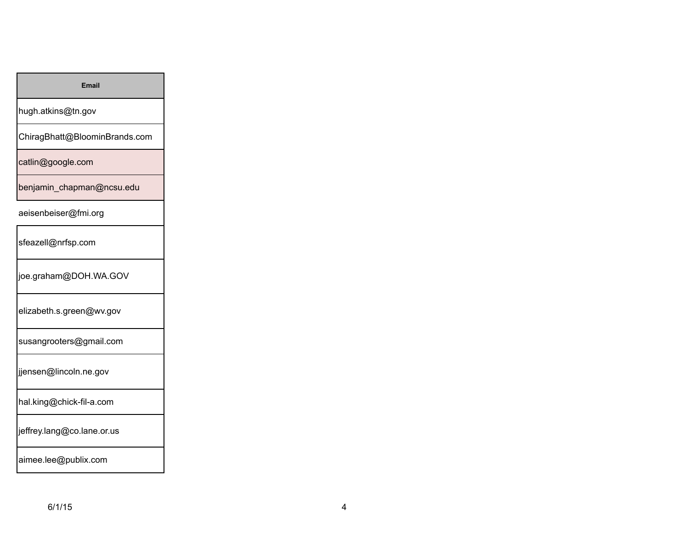hugh.atkins@tn.gov

ChiragBhatt@BloominBrands.com

catlin@google.com

benjamin\_chapman@ncsu.edu

## aeisenbeiser@fmi.org

sfeazell@nrfsp.com

joe.graham@DOH.WA.GOV

elizabeth.s.green@wv.gov

susangrooters@gmail.com

jjensen@lincoln.ne.gov

hal.king@chick-fil-a.com

jeffrey.lang@co.lane.or.us

aimee.lee@publix.com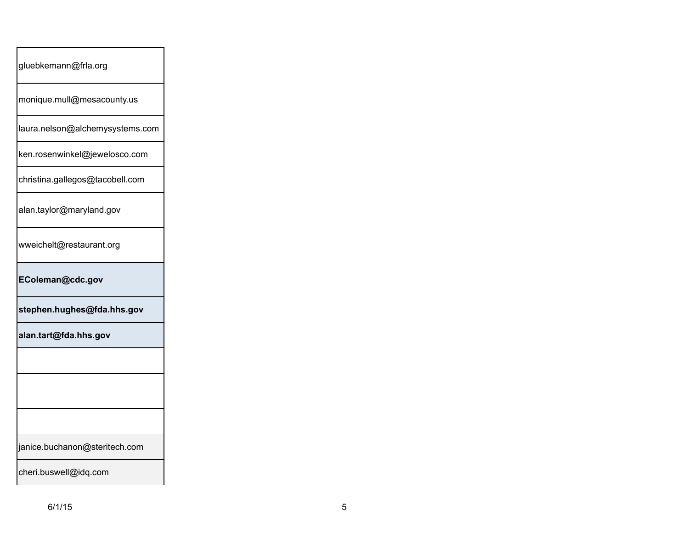| gluebkemann@frla.org            |
|---------------------------------|
| monique.mull@mesacounty.us      |
| laura.nelson@alchemysystems.com |
| ken.rosenwinkel@jewelosco.com   |
| christina.gallegos@tacobell.com |
| alan.taylor@maryland.gov        |
| wweichelt@restaurant.org        |
| EColeman@cdc.gov                |
| stephen.hughes@fda.hhs.gov      |
| alan.tart@fda.hhs.gov           |
|                                 |
|                                 |
|                                 |
| janice.buchanon@steritech.com   |
| cheri.buswell@idq.com           |